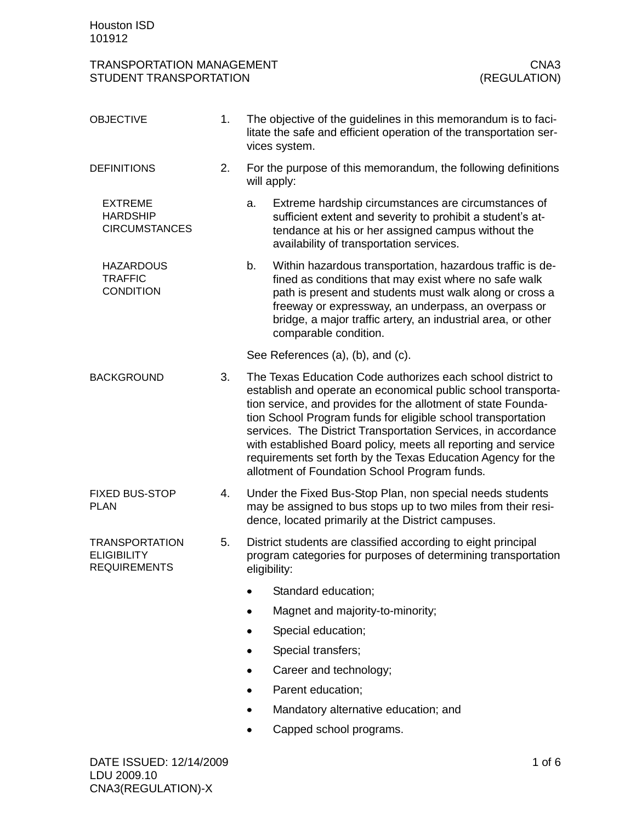| <b>TRANSPORTATION MANAGEMENT</b><br>CNA3<br>(REGULATION)<br>STUDENT TRANSPORTATION |    |              |                                                                                                                                                                                                                                                                                                                                                                                                                                                                                                                   |  |
|------------------------------------------------------------------------------------|----|--------------|-------------------------------------------------------------------------------------------------------------------------------------------------------------------------------------------------------------------------------------------------------------------------------------------------------------------------------------------------------------------------------------------------------------------------------------------------------------------------------------------------------------------|--|
| <b>OBJECTIVE</b>                                                                   | 1. |              | The objective of the guidelines in this memorandum is to faci-<br>litate the safe and efficient operation of the transportation ser-<br>vices system.                                                                                                                                                                                                                                                                                                                                                             |  |
| <b>DEFINITIONS</b>                                                                 | 2. |              | For the purpose of this memorandum, the following definitions<br>will apply:                                                                                                                                                                                                                                                                                                                                                                                                                                      |  |
| <b>EXTREME</b><br><b>HARDSHIP</b><br><b>CIRCUMSTANCES</b>                          |    | a.           | Extreme hardship circumstances are circumstances of<br>sufficient extent and severity to prohibit a student's at-<br>tendance at his or her assigned campus without the<br>availability of transportation services.                                                                                                                                                                                                                                                                                               |  |
| <b>HAZARDOUS</b><br><b>TRAFFIC</b><br><b>CONDITION</b>                             |    | b.           | Within hazardous transportation, hazardous traffic is de-<br>fined as conditions that may exist where no safe walk<br>path is present and students must walk along or cross a<br>freeway or expressway, an underpass, an overpass or<br>bridge, a major traffic artery, an industrial area, or other<br>comparable condition.                                                                                                                                                                                     |  |
|                                                                                    |    |              | See References (a), (b), and (c).                                                                                                                                                                                                                                                                                                                                                                                                                                                                                 |  |
| <b>BACKGROUND</b>                                                                  | 3. |              | The Texas Education Code authorizes each school district to<br>establish and operate an economical public school transporta-<br>tion service, and provides for the allotment of state Founda-<br>tion School Program funds for eligible school transportation<br>services. The District Transportation Services, in accordance<br>with established Board policy, meets all reporting and service<br>requirements set forth by the Texas Education Agency for the<br>allotment of Foundation School Program funds. |  |
| <b>FIXED BUS-STOP</b><br><b>PLAN</b>                                               | 4. |              | Under the Fixed Bus-Stop Plan, non special needs students<br>may be assigned to bus stops up to two miles from their resi-<br>dence, located primarily at the District campuses.                                                                                                                                                                                                                                                                                                                                  |  |
| <b>TRANSPORTATION</b><br><b>ELIGIBILITY</b><br><b>REQUIREMENTS</b>                 | 5. | eligibility: | District students are classified according to eight principal<br>program categories for purposes of determining transportation                                                                                                                                                                                                                                                                                                                                                                                    |  |
|                                                                                    |    |              | Standard education;                                                                                                                                                                                                                                                                                                                                                                                                                                                                                               |  |
|                                                                                    |    |              | Magnet and majority-to-minority;                                                                                                                                                                                                                                                                                                                                                                                                                                                                                  |  |
|                                                                                    |    |              | Special education;                                                                                                                                                                                                                                                                                                                                                                                                                                                                                                |  |
|                                                                                    |    |              | Special transfers;                                                                                                                                                                                                                                                                                                                                                                                                                                                                                                |  |
|                                                                                    |    |              | Career and technology;                                                                                                                                                                                                                                                                                                                                                                                                                                                                                            |  |
|                                                                                    |    |              | Parent education;                                                                                                                                                                                                                                                                                                                                                                                                                                                                                                 |  |
|                                                                                    |    |              | Mandatory alternative education; and                                                                                                                                                                                                                                                                                                                                                                                                                                                                              |  |
|                                                                                    |    |              | Capped school programs.                                                                                                                                                                                                                                                                                                                                                                                                                                                                                           |  |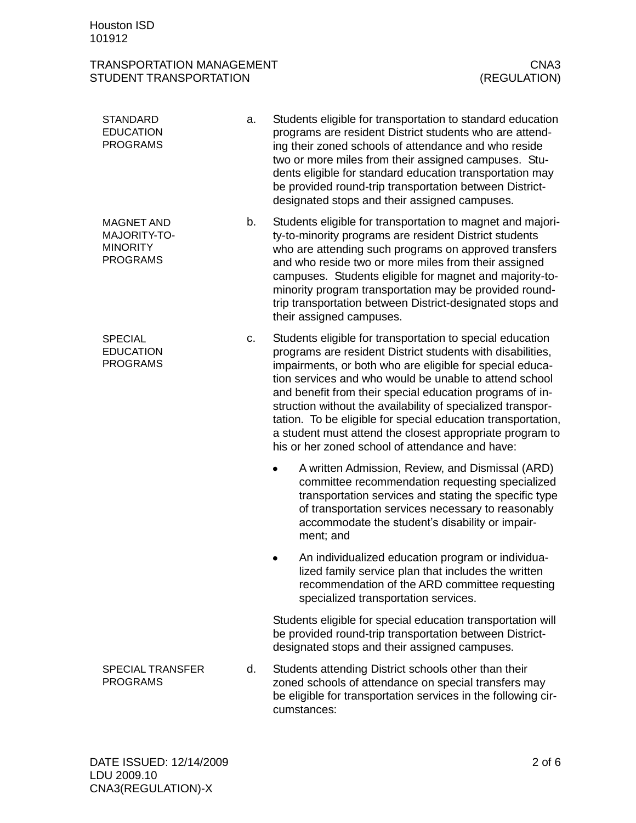## TRANSPORTATION MANAGEMENT<br>STUDENT TRANSPORTATION (REGULATION) STUDENT TRANSPORTATION

| <b>STANDARD</b><br><b>EDUCATION</b><br><b>PROGRAMS</b>                  | a. | Students eligible for transportation to standard education<br>programs are resident District students who are attend-<br>ing their zoned schools of attendance and who reside<br>two or more miles from their assigned campuses. Stu-<br>dents eligible for standard education transportation may<br>be provided round-trip transportation between District-<br>designated stops and their assigned campuses.                                                                                                                                           |
|-------------------------------------------------------------------------|----|---------------------------------------------------------------------------------------------------------------------------------------------------------------------------------------------------------------------------------------------------------------------------------------------------------------------------------------------------------------------------------------------------------------------------------------------------------------------------------------------------------------------------------------------------------|
| <b>MAGNET AND</b><br>MAJORITY-TO-<br><b>MINORITY</b><br><b>PROGRAMS</b> | b. | Students eligible for transportation to magnet and majori-<br>ty-to-minority programs are resident District students<br>who are attending such programs on approved transfers<br>and who reside two or more miles from their assigned<br>campuses. Students eligible for magnet and majority-to-<br>minority program transportation may be provided round-<br>trip transportation between District-designated stops and<br>their assigned campuses.                                                                                                     |
| <b>SPECIAL</b><br><b>EDUCATION</b><br><b>PROGRAMS</b>                   | c. | Students eligible for transportation to special education<br>programs are resident District students with disabilities,<br>impairments, or both who are eligible for special educa-<br>tion services and who would be unable to attend school<br>and benefit from their special education programs of in-<br>struction without the availability of specialized transpor-<br>tation. To be eligible for special education transportation,<br>a student must attend the closest appropriate program to<br>his or her zoned school of attendance and have: |
|                                                                         |    | A written Admission, Review, and Dismissal (ARD)<br>committee recommendation requesting specialized<br>transportation services and stating the specific type<br>of transportation services necessary to reasonably<br>accommodate the student's disability or impair-<br>ment; and                                                                                                                                                                                                                                                                      |
|                                                                         |    | An individualized education program or individua-<br>lized family service plan that includes the written<br>recommendation of the ARD committee requesting<br>specialized transportation services.                                                                                                                                                                                                                                                                                                                                                      |
|                                                                         |    | Students eligible for special education transportation will<br>be provided round-trip transportation between District-<br>designated stops and their assigned campuses.                                                                                                                                                                                                                                                                                                                                                                                 |
| <b>SPECIAL TRANSFER</b><br><b>PROGRAMS</b>                              | d. | Students attending District schools other than their<br>zoned schools of attendance on special transfers may<br>be eligible for transportation services in the following cir-<br>cumstances:                                                                                                                                                                                                                                                                                                                                                            |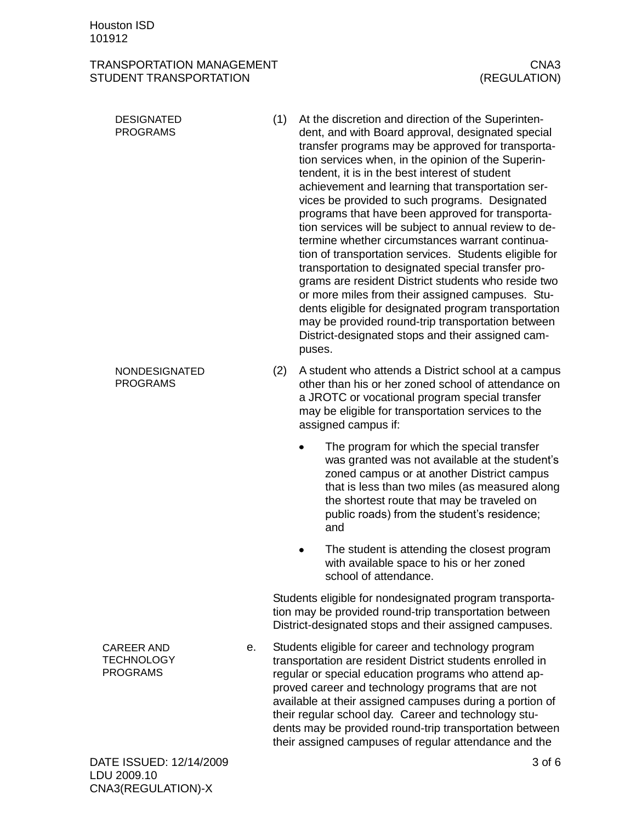## TRANSPORTATION MANAGEMENT **CONSUMING TRANSPORTATION** STUDENT TRANSPORTATION (REGULATION)

- (1) At the discretion and direction of the Superintendent, and with Board approval, designated special transfer programs may be approved for transportation services when, in the opinion of the Superintendent, it is in the best interest of student achievement and learning that transportation services be provided to such programs. Designated programs that have been approved for transportation services will be subject to annual review to determine whether circumstances warrant continuation of transportation services. Students eligible for transportation to designated special transfer programs are resident District students who reside two or more miles from their assigned campuses. Students eligible for designated program transportation may be provided round-trip transportation between District-designated stops and their assigned campuses. DESIGNATED PROGRAMS
	- (2) A student who attends a District school at a campus other than his or her zoned school of attendance on a JROTC or vocational program special transfer may be eligible for transportation services to the assigned campus if:
		- The program for which the special transfer was granted was not available at the student's zoned campus or at another District campus that is less than two miles (as measured along the shortest route that may be traveled on public roads) from the student's residence; and
		- The student is attending the closest program  $\bullet$ with available space to his or her zoned school of attendance.

Students eligible for nondesignated program transportation may be provided round-trip transportation between District-designated stops and their assigned campuses.

e. Students eligible for career and technology program transportation are resident District students enrolled in regular or special education programs who attend approved career and technology programs that are not available at their assigned campuses during a portion of their regular school day. Career and technology students may be provided round-trip transportation between their assigned campuses of regular attendance and the

CAREER AND **TECHNOLOGY** PROGRAMS

NONDESIGNATED PROGRAMS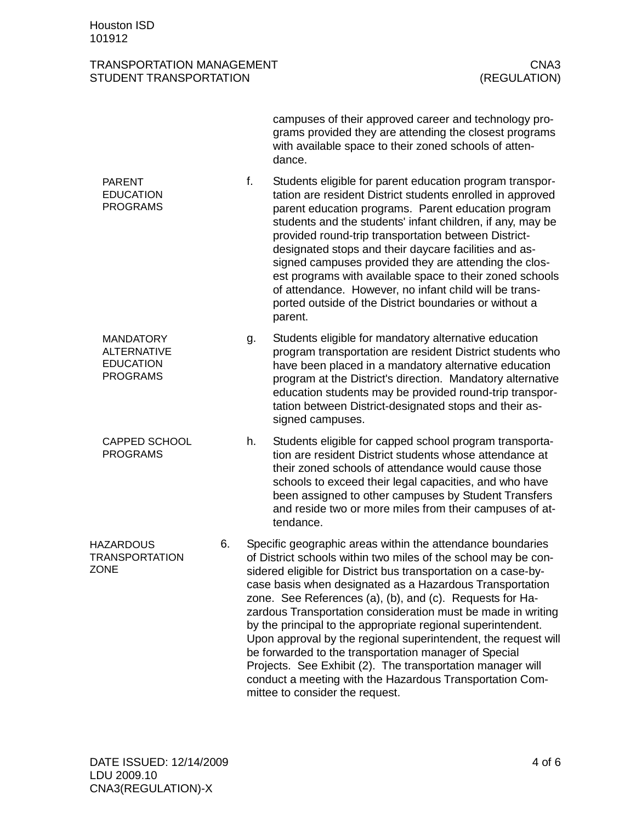## TRANSPORTATION MANAGEMENT **CONTACT AND CONTACT CONTACT CONTACT CONTACT CONTACT CONTACT CONTACT CONTACT CONTACT CONTACT CONTACT CONTACT CONTACT CONTACT CONTACT CONTACT CONTACT CONTACT CONTACT CONTACT CONTACT CONTACT CONTACT** STUDENT TRANSPORTATION (REGULATION)

campuses of their approved career and technology programs provided they are attending the closest programs with available space to their zoned schools of attendance. f. Students eligible for parent education program transportation are resident District students enrolled in approved parent education programs. Parent education program students and the students' infant children, if any, may be provided round-trip transportation between Districtdesignated stops and their daycare facilities and assigned campuses provided they are attending the closest programs with available space to their zoned schools of attendance. However, no infant child will be transported outside of the District boundaries or without a parent. g. Students eligible for mandatory alternative education program transportation are resident District students who have been placed in a mandatory alternative education program at the District's direction. Mandatory alternative education students may be provided round-trip transportation between District-designated stops and their assigned campuses. h. Students eligible for capped school program transportation are resident District students whose attendance at their zoned schools of attendance would cause those schools to exceed their legal capacities, and who have been assigned to other campuses by Student Transfers and reside two or more miles from their campuses of attendance. 6. Specific geographic areas within the attendance boundaries of District schools within two miles of the school may be considered eligible for District bus transportation on a case-bycase basis when designated as a Hazardous Transportation zone. See References (a), (b), and (c). Requests for Hazardous Transportation consideration must be made in writing by the principal to the appropriate regional superintendent. Upon approval by the regional superintendent, the request will be forwarded to the transportation manager of Special Projects. See Exhibit (2). The transportation manager will conduct a meeting with the Hazardous Transportation Com-PARENT EDUCATION PROGRAMS MANDATORY ALTERNATIVE EDUCATION PROGRAMS CAPPED SCHOOL PROGRAMS **HAZARDOUS** TRANSPORTATION ZONE

mittee to consider the request.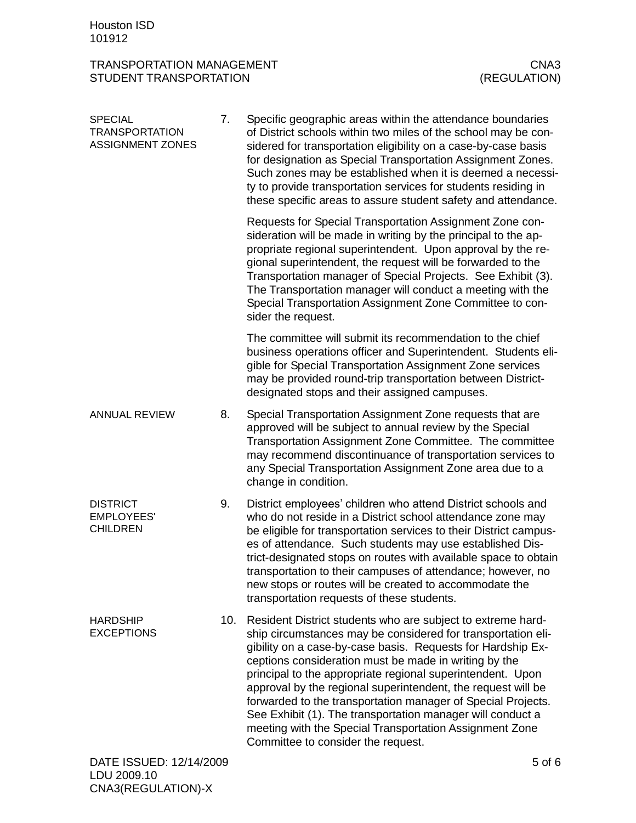## TRANSPORTATION MANAGEMENT<br>STUDENT TRANSPORTATION (REGULATION) STUDENT TRANSPORTATION

| <b>SPECIAL</b><br><b>TRANSPORTATION</b><br><b>ASSIGNMENT ZONES</b> | 7.  | Specific geographic areas within the attendance boundaries<br>of District schools within two miles of the school may be con-<br>sidered for transportation eligibility on a case-by-case basis<br>for designation as Special Transportation Assignment Zones.<br>Such zones may be established when it is deemed a necessi-<br>ty to provide transportation services for students residing in<br>these specific areas to assure student safety and attendance.                                                                                                                                                   |
|--------------------------------------------------------------------|-----|------------------------------------------------------------------------------------------------------------------------------------------------------------------------------------------------------------------------------------------------------------------------------------------------------------------------------------------------------------------------------------------------------------------------------------------------------------------------------------------------------------------------------------------------------------------------------------------------------------------|
|                                                                    |     | Requests for Special Transportation Assignment Zone con-<br>sideration will be made in writing by the principal to the ap-<br>propriate regional superintendent. Upon approval by the re-<br>gional superintendent, the request will be forwarded to the<br>Transportation manager of Special Projects. See Exhibit (3).<br>The Transportation manager will conduct a meeting with the<br>Special Transportation Assignment Zone Committee to con-<br>sider the request.                                                                                                                                         |
|                                                                    |     | The committee will submit its recommendation to the chief<br>business operations officer and Superintendent. Students eli-<br>gible for Special Transportation Assignment Zone services<br>may be provided round-trip transportation between District-<br>designated stops and their assigned campuses.                                                                                                                                                                                                                                                                                                          |
| <b>ANNUAL REVIEW</b>                                               | 8.  | Special Transportation Assignment Zone requests that are<br>approved will be subject to annual review by the Special<br>Transportation Assignment Zone Committee. The committee<br>may recommend discontinuance of transportation services to<br>any Special Transportation Assignment Zone area due to a<br>change in condition.                                                                                                                                                                                                                                                                                |
| <b>DISTRICT</b><br><b>EMPLOYEES'</b><br><b>CHILDREN</b>            | 9.  | District employees' children who attend District schools and<br>who do not reside in a District school attendance zone may<br>be eligible for transportation services to their District campus-<br>es of attendance. Such students may use established Dis-<br>trict-designated stops on routes with available space to obtain<br>transportation to their campuses of attendance; however, no<br>new stops or routes will be created to accommodate the<br>transportation requests of these students.                                                                                                            |
| <b>HARDSHIP</b><br><b>EXCEPTIONS</b>                               | 10. | Resident District students who are subject to extreme hard-<br>ship circumstances may be considered for transportation eli-<br>gibility on a case-by-case basis. Requests for Hardship Ex-<br>ceptions consideration must be made in writing by the<br>principal to the appropriate regional superintendent. Upon<br>approval by the regional superintendent, the request will be<br>forwarded to the transportation manager of Special Projects.<br>See Exhibit (1). The transportation manager will conduct a<br>meeting with the Special Transportation Assignment Zone<br>Committee to consider the request. |
| DATE ISSUED: 12/14/2009                                            |     | 5 of 6                                                                                                                                                                                                                                                                                                                                                                                                                                                                                                                                                                                                           |